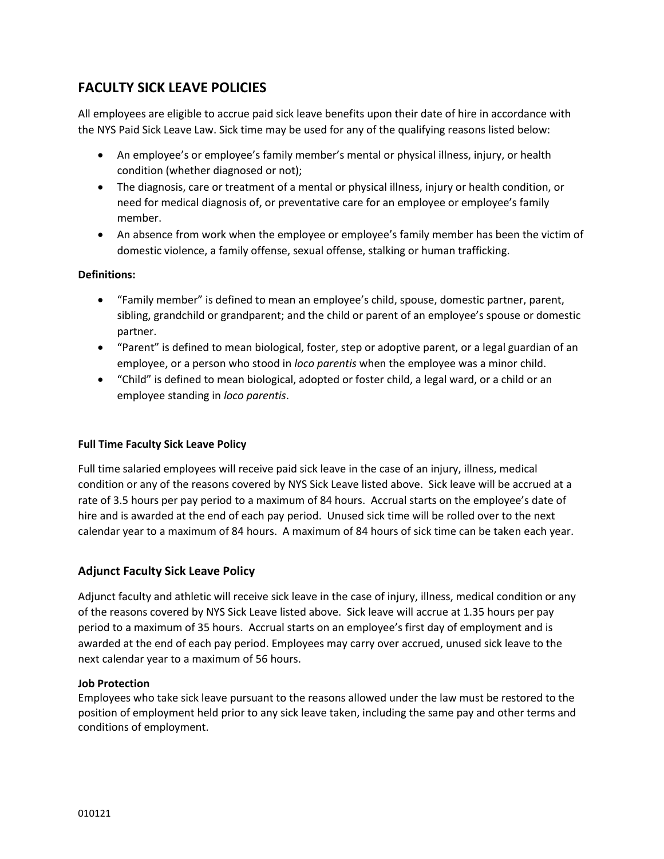# **FACULTY SICK LEAVE POLICIES**

All employees are eligible to accrue paid sick leave benefits upon their date of hire in accordance with the NYS Paid Sick Leave Law. Sick time may be used for any of the qualifying reasons listed below:

- An employee's or employee's family member's mental or physical illness, injury, or health condition (whether diagnosed or not);
- The diagnosis, care or treatment of a mental or physical illness, injury or health condition, or need for medical diagnosis of, or preventative care for an employee or employee's family member.
- An absence from work when the employee or employee's family member has been the victim of domestic violence, a family offense, sexual offense, stalking or human trafficking.

# **Definitions:**

- "Family member" is defined to mean an employee's child, spouse, domestic partner, parent, sibling, grandchild or grandparent; and the child or parent of an employee's spouse or domestic partner.
- "Parent" is defined to mean biological, foster, step or adoptive parent, or a legal guardian of an employee, or a person who stood in *loco parentis* when the employee was a minor child.
- "Child" is defined to mean biological, adopted or foster child, a legal ward, or a child or an employee standing in *loco parentis*.

# **Full Time Faculty Sick Leave Policy**

Full time salaried employees will receive paid sick leave in the case of an injury, illness, medical condition or any of the reasons covered by NYS Sick Leave listed above. Sick leave will be accrued at a rate of 3.5 hours per pay period to a maximum of 84 hours. Accrual starts on the employee's date of hire and is awarded at the end of each pay period. Unused sick time will be rolled over to the next calendar year to a maximum of 84 hours. A maximum of 84 hours of sick time can be taken each year.

# **Adjunct Faculty Sick Leave Policy**

Adjunct faculty and athletic will receive sick leave in the case of injury, illness, medical condition or any of the reasons covered by NYS Sick Leave listed above. Sick leave will accrue at 1.35 hours per pay period to a maximum of 35 hours. Accrual starts on an employee's first day of employment and is awarded at the end of each pay period. Employees may carry over accrued, unused sick leave to the next calendar year to a maximum of 56 hours.

# **Job Protection**

Employees who take sick leave pursuant to the reasons allowed under the law must be restored to the position of employment held prior to any sick leave taken, including the same pay and other terms and conditions of employment.